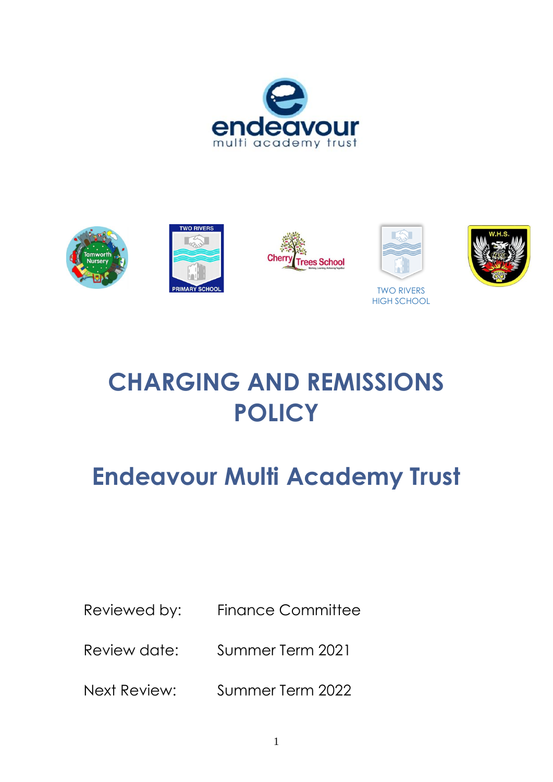



# **CHARGING AND REMISSIONS POLICY**

## **Endeavour Multi Academy Trust**

Reviewed by: Finance Committee

Review date: Summer Term 2021

Next Review: Summer Term 2022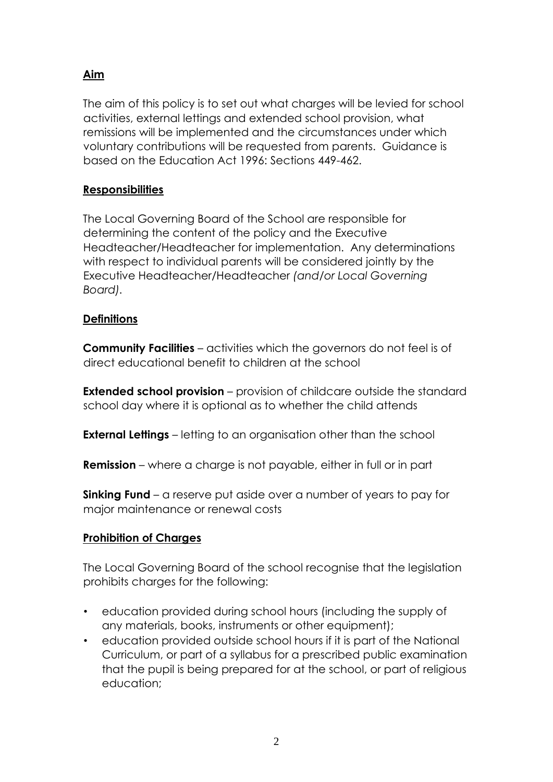## **Aim**

The aim of this policy is to set out what charges will be levied for school activities, external lettings and extended school provision, what remissions will be implemented and the circumstances under which voluntary contributions will be requested from parents. Guidance is based on the Education Act 1996: Sections 449-462.

#### **Responsibilities**

The Local Governing Board of the School are responsible for determining the content of the policy and the Executive Headteacher/Headteacher for implementation. Any determinations with respect to individual parents will be considered jointly by the Executive Headteacher/Headteacher *(and/or Local Governing Board).*

#### **Definitions**

**Community Facilities** – activities which the governors do not feel is of direct educational benefit to children at the school

**Extended school provision** – provision of childcare outside the standard school day where it is optional as to whether the child attends

**External Lettings** – letting to an organisation other than the school

**Remission** – where a charge is not payable, either in full or in part

**Sinking Fund** – a reserve put aside over a number of years to pay for major maintenance or renewal costs

#### **Prohibition of Charges**

The Local Governing Board of the school recognise that the legislation prohibits charges for the following:

- education provided during school hours (including the supply of any materials, books, instruments or other equipment);
- education provided outside school hours if it is part of the National Curriculum, or part of a syllabus for a prescribed public examination that the pupil is being prepared for at the school, or part of religious education;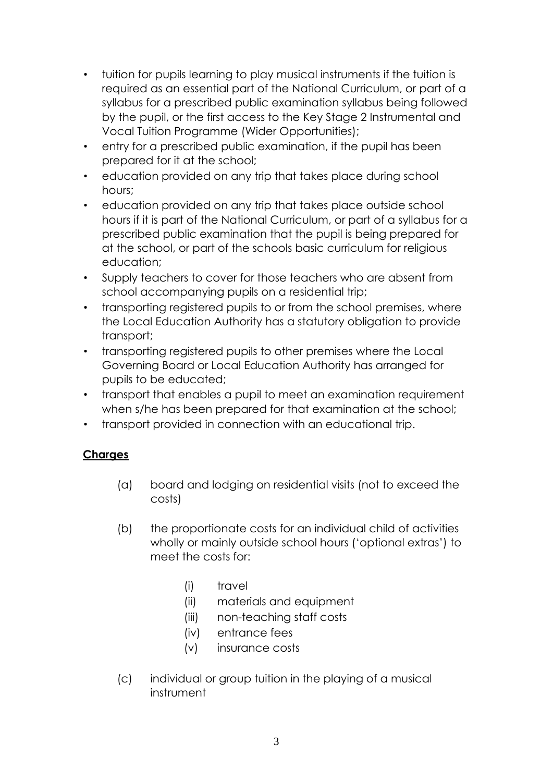- tuition for pupils learning to play musical instruments if the tuition is required as an essential part of the National Curriculum, or part of a syllabus for a prescribed public examination syllabus being followed by the pupil, or the first access to the Key Stage 2 Instrumental and Vocal Tuition Programme (Wider Opportunities);
- entry for a prescribed public examination, if the pupil has been prepared for it at the school;
- education provided on any trip that takes place during school hours;
- education provided on any trip that takes place outside school hours if it is part of the National Curriculum, or part of a syllabus for a prescribed public examination that the pupil is being prepared for at the school, or part of the schools basic curriculum for religious education;
- Supply teachers to cover for those teachers who are absent from school accompanying pupils on a residential trip;
- transporting registered pupils to or from the school premises, where the Local Education Authority has a statutory obligation to provide transport;
- transporting registered pupils to other premises where the Local Governing Board or Local Education Authority has arranged for pupils to be educated;
- transport that enables a pupil to meet an examination requirement when s/he has been prepared for that examination at the school;
- transport provided in connection with an educational trip.

### **Charges**

- (a) board and lodging on residential visits (not to exceed the costs)
- (b) the proportionate costs for an individual child of activities wholly or mainly outside school hours ('optional extras') to meet the costs for:
	- (i) travel
	- (ii) materials and equipment
	- (iii) non-teaching staff costs
	- (iv) entrance fees
	- (v) insurance costs
- (c) individual or group tuition in the playing of a musical instrument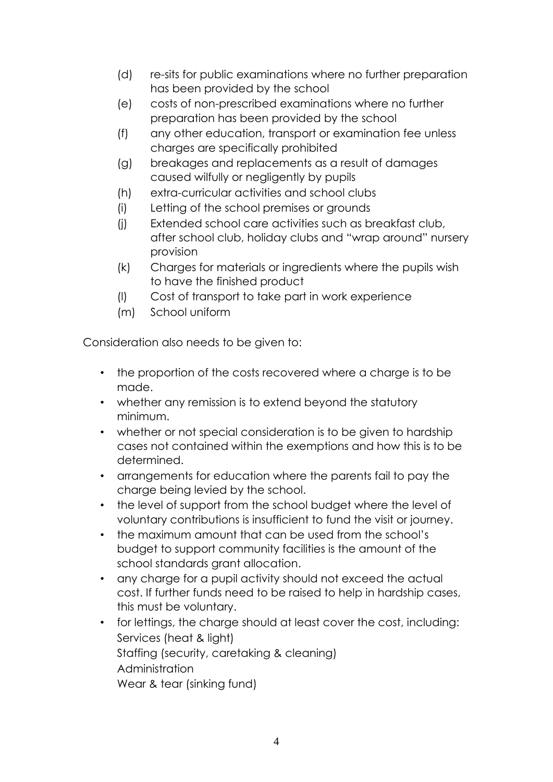- (d) re-sits for public examinations where no further preparation has been provided by the school
- (e) costs of non-prescribed examinations where no further preparation has been provided by the school
- (f) any other education, transport or examination fee unless charges are specifically prohibited
- (g) breakages and replacements as a result of damages caused wilfully or negligently by pupils
- (h) extra-curricular activities and school clubs
- (i) Letting of the school premises or grounds
- (j) Extended school care activities such as breakfast club, after school club, holiday clubs and "wrap around" nursery provision
- (k) Charges for materials or ingredients where the pupils wish to have the finished product
- (l) Cost of transport to take part in work experience
- (m) School uniform

Consideration also needs to be given to:

- the proportion of the costs recovered where a charge is to be made.
- whether any remission is to extend beyond the statutory minimum.
- whether or not special consideration is to be given to hardship cases not contained within the exemptions and how this is to be determined.
- arrangements for education where the parents fail to pay the charge being levied by the school.
- the level of support from the school budget where the level of voluntary contributions is insufficient to fund the visit or journey.
- the maximum amount that can be used from the school's budget to support community facilities is the amount of the school standards grant allocation.
- any charge for a pupil activity should not exceed the actual cost. If further funds need to be raised to help in hardship cases, this must be voluntary.
- for lettings, the charge should at least cover the cost, including: Services (heat & light) Staffing (security, caretaking & cleaning) Administration Wear & tear (sinking fund)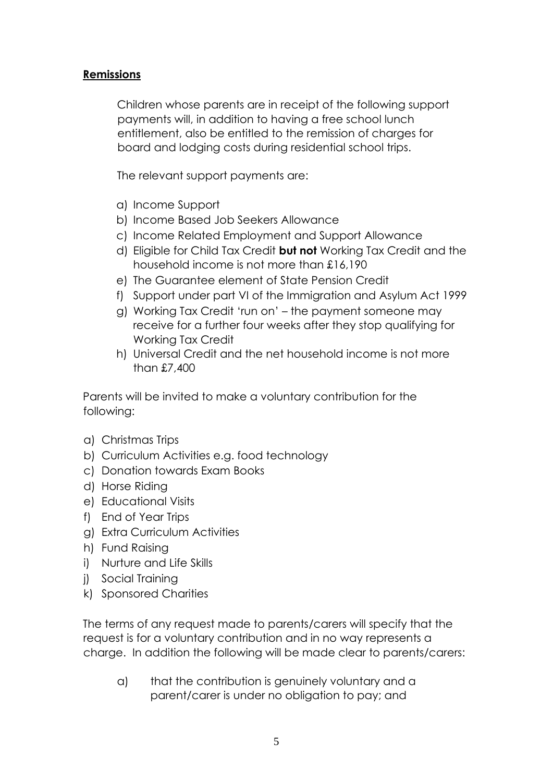#### **Remissions**

Children whose parents are in receipt of the following support payments will, in addition to having a free school lunch entitlement, also be entitled to the remission of charges for board and lodging costs during residential school trips.

The relevant support payments are:

- a) Income Support
- b) Income Based Job Seekers Allowance
- c) Income Related Employment and Support Allowance
- d) Eligible for Child Tax Credit **but not** Working Tax Credit and the household income is not more than £16,190
- e) The Guarantee element of State Pension Credit
- f) Support under part VI of the Immigration and Asylum Act 1999
- g) Working Tax Credit 'run on' the payment someone may receive for a further four weeks after they stop qualifying for Working Tax Credit
- h) Universal Credit and the net household income is not more than £7,400

Parents will be invited to make a voluntary contribution for the following:

- a) Christmas Trips
- b) Curriculum Activities e.g. food technology
- c) Donation towards Exam Books
- d) Horse Riding
- e) Educational Visits
- f) End of Year Trips
- g) Extra Curriculum Activities
- h) Fund Raising
- i) Nurture and Life Skills
- j) Social Training
- k) Sponsored Charities

The terms of any request made to parents/carers will specify that the request is for a voluntary contribution and in no way represents a charge. In addition the following will be made clear to parents/carers:

a) that the contribution is genuinely voluntary and a parent/carer is under no obligation to pay; and